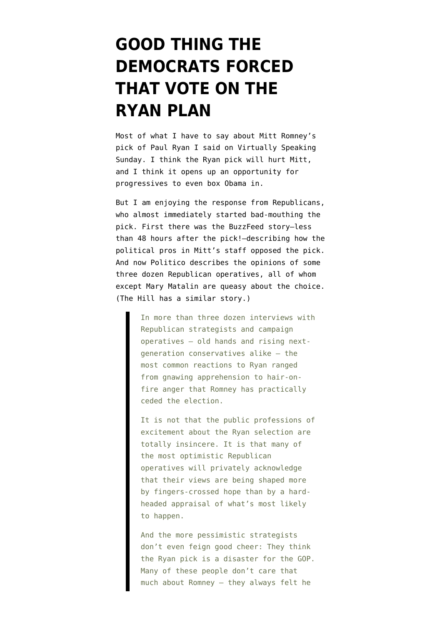## **[GOOD THING THE](https://www.emptywheel.net/2012/08/14/good-thing-the-democrats-forced-that-vote-on-the-ryan-plan/) [DEMOCRATS FORCED](https://www.emptywheel.net/2012/08/14/good-thing-the-democrats-forced-that-vote-on-the-ryan-plan/) [THAT VOTE ON THE](https://www.emptywheel.net/2012/08/14/good-thing-the-democrats-forced-that-vote-on-the-ryan-plan/) [RYAN PLAN](https://www.emptywheel.net/2012/08/14/good-thing-the-democrats-forced-that-vote-on-the-ryan-plan/)**

Most of what I have to say about Mitt Romney's pick of Paul Ryan I said on [Virtually Speaking](http://www.blogtalkradio.com/virtuallyspeaking/2012/08/13/marcy-wheeler-and-avedon-carol-virtually-speaking-sundays#) [Sunday](http://www.blogtalkradio.com/virtuallyspeaking/2012/08/13/marcy-wheeler-and-avedon-carol-virtually-speaking-sundays#). I think the Ryan pick will hurt Mitt, and I think it opens up an opportunity for progressives to even box Obama in.

But I am enjoying the response from Republicans, who almost immediately started bad-mouthing the pick. First there was the [BuzzFeed story–](http://www.buzzfeed.com/bensmith/romney-picked-ryan-over-advisors-early-doubts)less than 48 hours after the pick!–describing how the political pros in Mitt's staff opposed the pick. And now Politico [describes](http://dyn.politico.com/printstory.cfm?uuid=9D239690-8DCD-4DD7-8723-4A18ED5A9C8C) the opinions of some three dozen Republican operatives, all of whom except Mary Matalin are queasy about the choice. ([The Hill](http://thehill.com/blogs/ballot-box/presidential-races/243473-gop-concerned-ryan-could-cost-party-house-and-senate-seats) has a similar story.)

> In more than three dozen interviews with Republican strategists and campaign operatives — old hands and rising nextgeneration conservatives alike — the most common reactions to Ryan ranged from gnawing apprehension to hair-onfire anger that Romney has practically ceded the election.

> It is not that the public professions of excitement about the Ryan selection are totally insincere. It is that many of the most optimistic Republican operatives will privately acknowledge that their views are being shaped more by fingers-crossed hope than by a hardheaded appraisal of what's most likely to happen.

> And the more pessimistic strategists don't even feign good cheer: They think the Ryan pick is a disaster for the GOP. Many of these people don't care that much about Romney — they always felt he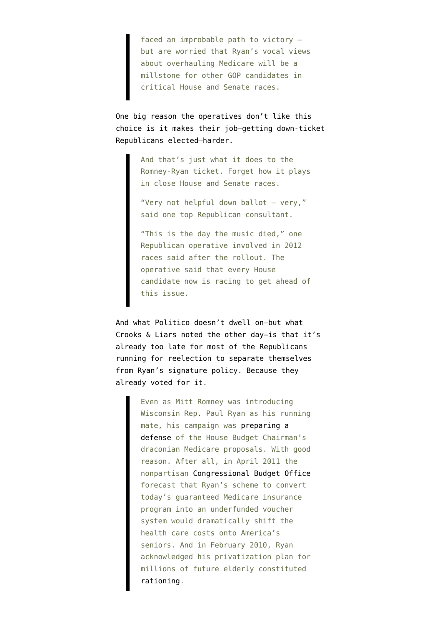faced an improbable path to victory but are worried that Ryan's vocal views about overhauling Medicare will be a millstone for other GOP candidates in critical House and Senate races.

One big reason the operatives don't like this choice is it makes their job–getting down-ticket Republicans elected–harder.

> And that's just what it does to the Romney-Ryan ticket. Forget how it plays in close House and Senate races.

"Very not helpful down ballot — very," said one top Republican consultant.

"This is the day the music died," one Republican operative involved in 2012 races said after the rollout. The operative said that every House candidate now is racing to get ahead of this issue.

And what Politico doesn't dwell on–but what [Crooks & Liars noted](http://crooksandliars.com/jon-perr/98-percent-republicans-congress-voted-ryans-medicare) the other day–is that it's already too late for most of the Republicans running for reelection to separate themselves from Ryan's signature policy. Because they already voted for it.

> Even as Mitt Romney was introducing Wisconsin Rep. Paul Ryan as his running mate, his campaign was [preparing a](http://politicalticker.blogs.cnn.com/2012/08/11/romney-camp-prepares-medicare-defense-after-ryan-pick/) [defense](http://politicalticker.blogs.cnn.com/2012/08/11/romney-camp-prepares-medicare-defense-after-ryan-pick/) of the House Budget Chairman's draconian Medicare proposals. With good reason. After all, in April 2011 the nonpartisan [Congressional Budget Office](http://www.perrspectives.com/blog/archives/002147.htm) forecast that Ryan's scheme to convert today's guaranteed Medicare insurance program into an underfunded voucher system would dramatically shift the health care costs onto America's seniors. And in February 2010, Ryan acknowledged his privatization plan for millions of future elderly constituted [rationing](http://voices.washingtonpost.com/ezra-klein/2010/02/rep_paul_ryan_rationing_happen.html).